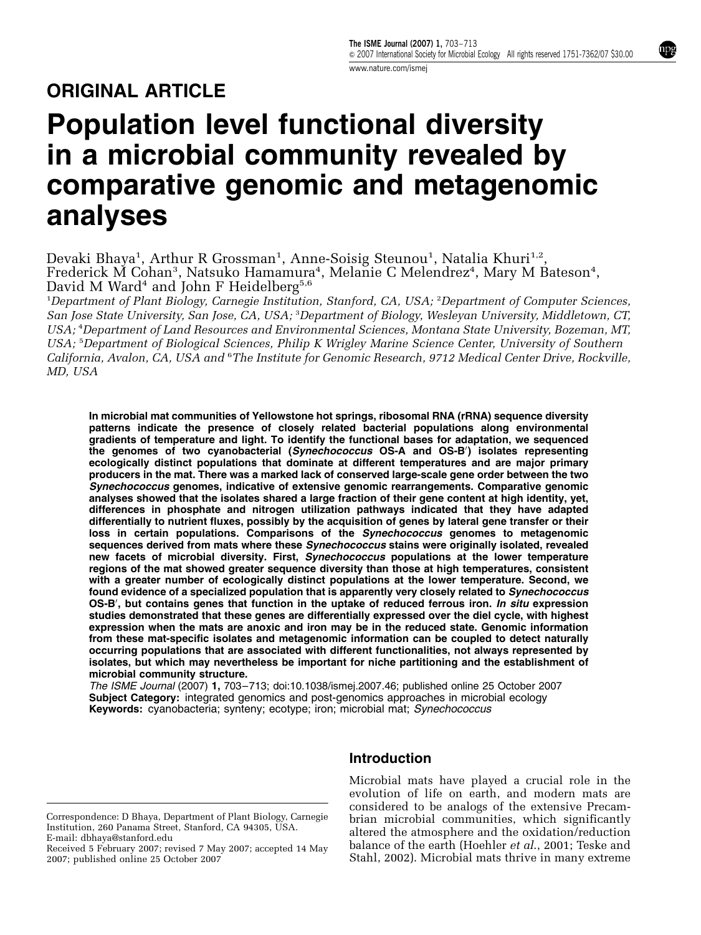mpg

# ORIGINAL ARTICLE

# Population level functional diversity in a microbial community revealed by comparative genomic and metagenomic analyses

Devaki Bhaya<sup>1</sup>, Arthur R Grossman<sup>1</sup>, Anne-Soisig Steunou<sup>1</sup>, Natalia Khuri<sup>1,2</sup>, Frederick M Cohan<sup>3</sup>, Natsuko Hamamura<sup>4</sup>, Melanie C Melendrez<sup>4</sup>, Mary M Bateson<sup>4</sup>, David M Ward<sup>4</sup> and John F Heidelberg<sup>5,6</sup>

<sup>1</sup>Department of Plant Biology, Carnegie Institution, Stanford, CA, USA; <sup>2</sup>Department of Computer Sciences, San Jose State University, San Jose, CA, USA; <sup>3</sup> Department of Biology, Wesleyan University, Middletown, CT, USA; <sup>4</sup> Department of Land Resources and Environmental Sciences, Montana State University, Bozeman, MT, USA; <sup>5</sup>Department of Biological Sciences, Philip K Wrigley Marine Science Center, University of Southern California, Avalon, CA, USA and <sup>6</sup>The Institute for Genomic Research, 9712 Medical Center Drive, Rockville, MD, USA

In microbial mat communities of Yellowstone hot springs, ribosomal RNA (rRNA) sequence diversity patterns indicate the presence of closely related bacterial populations along environmental gradients of temperature and light. To identify the functional bases for adaptation, we sequenced the genomes of two cyanobacterial (Synechococcus OS-A and OS-B') isolates representing ecologically distinct populations that dominate at different temperatures and are major primary producers in the mat. There was a marked lack of conserved large-scale gene order between the two Synechococcus genomes, indicative of extensive genomic rearrangements. Comparative genomic analyses showed that the isolates shared a large fraction of their gene content at high identity, yet, differences in phosphate and nitrogen utilization pathways indicated that they have adapted differentially to nutrient fluxes, possibly by the acquisition of genes by lateral gene transfer or their loss in certain populations. Comparisons of the Synechococcus genomes to metagenomic sequences derived from mats where these Synechococcus stains were originally isolated, revealed new facets of microbial diversity. First, Synechococcus populations at the lower temperature regions of the mat showed greater sequence diversity than those at high temperatures, consistent with a greater number of ecologically distinct populations at the lower temperature. Second, we found evidence of a specialized population that is apparently very closely related to Synechococcus OS-B', but contains genes that function in the uptake of reduced ferrous iron. In situ expression studies demonstrated that these genes are differentially expressed over the diel cycle, with highest expression when the mats are anoxic and iron may be in the reduced state. Genomic information from these mat-specific isolates and metagenomic information can be coupled to detect naturally occurring populations that are associated with different functionalities, not always represented by isolates, but which may nevertheless be important for niche partitioning and the establishment of microbial community structure.

The ISME Journal (2007) 1, 703–713; doi:10.1038/ismej.2007.46; published online 25 October 2007 Subject Category: integrated genomics and post-genomics approaches in microbial ecology Keywords: cyanobacteria; synteny; ecotype; iron; microbial mat; Synechococcus

Correspondence: D Bhaya, Department of Plant Biology, Carnegie Institution, 260 Panama Street, Stanford, CA 94305, USA. E-mail: dbhaya@stanford.edu

2007; published online 25 October 2007

## Introduction

Microbial mats have played a crucial role in the evolution of life on earth, and modern mats are considered to be analogs of the extensive Precambrian microbial communities, which significantly altered the atmosphere and the oxidation/reduction balance of the earth (Hoehler et al., 2001; Teske and Stahl, 2002). Microbial mats thrive in many extreme Received 5 February 2007; revised 7 May 2007; accepted 14 May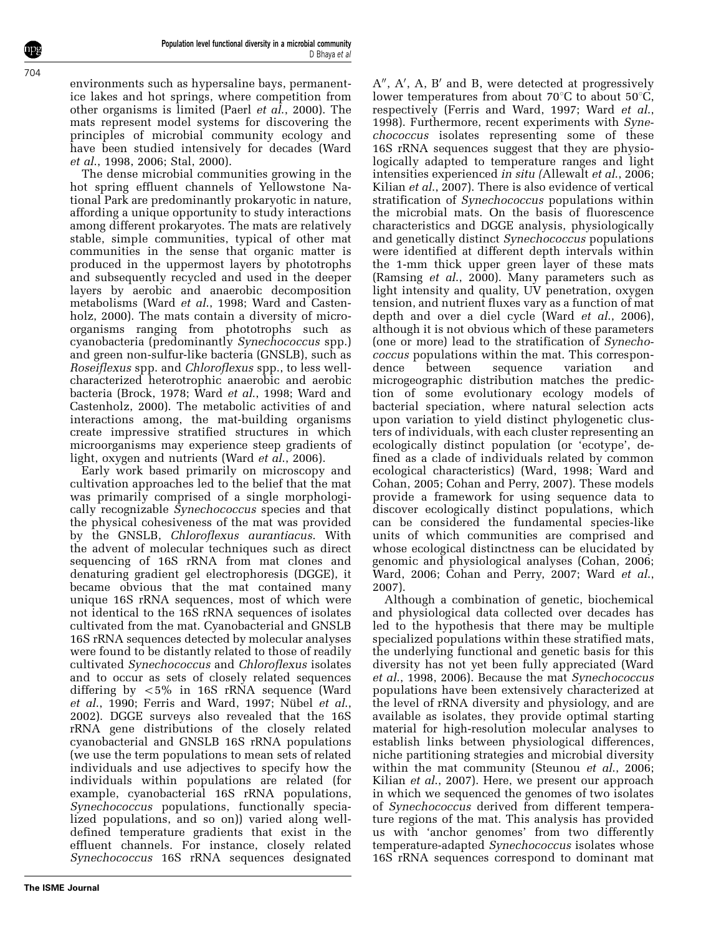environments such as hypersaline bays, permanentice lakes and hot springs, where competition from other organisms is limited (Paerl et al., 2000). The mats represent model systems for discovering the principles of microbial community ecology and have been studied intensively for decades (Ward et al., 1998, 2006; Stal, 2000).

The dense microbial communities growing in the hot spring effluent channels of Yellowstone National Park are predominantly prokaryotic in nature, affording a unique opportunity to study interactions among different prokaryotes. The mats are relatively stable, simple communities, typical of other mat communities in the sense that organic matter is produced in the uppermost layers by phototrophs and subsequently recycled and used in the deeper layers by aerobic and anaerobic decomposition metabolisms (Ward et al., 1998; Ward and Castenholz, 2000). The mats contain a diversity of microorganisms ranging from phototrophs such as cyanobacteria (predominantly Synechococcus spp.) and green non-sulfur-like bacteria (GNSLB), such as Roseiflexus spp. and Chloroflexus spp., to less wellcharacterized heterotrophic anaerobic and aerobic bacteria (Brock, 1978; Ward et al., 1998; Ward and Castenholz, 2000). The metabolic activities of and interactions among, the mat-building organisms create impressive stratified structures in which microorganisms may experience steep gradients of light, oxygen and nutrients (Ward *et al.*, 2006).

Early work based primarily on microscopy and cultivation approaches led to the belief that the mat was primarily comprised of a single morphologically recognizable Synechococcus species and that the physical cohesiveness of the mat was provided by the GNSLB, Chloroflexus aurantiacus. With the advent of molecular techniques such as direct sequencing of 16S rRNA from mat clones and denaturing gradient gel electrophoresis (DGGE), it became obvious that the mat contained many unique 16S rRNA sequences, most of which were not identical to the 16S rRNA sequences of isolates cultivated from the mat. Cyanobacterial and GNSLB 16S rRNA sequences detected by molecular analyses were found to be distantly related to those of readily cultivated Synechococcus and Chloroflexus isolates and to occur as sets of closely related sequences differing by  $\langle 5\%$  in 16S rRNA sequence (Ward  $et \ al., 1990;$  Ferris and Ward, 1997; Nübel  $et \ al.,$ 2002). DGGE surveys also revealed that the 16S rRNA gene distributions of the closely related cyanobacterial and GNSLB 16S rRNA populations (we use the term populations to mean sets of related individuals and use adjectives to specify how the individuals within populations are related (for example, cyanobacterial 16S rRNA populations, Synechococcus populations, functionally specialized populations, and so on)) varied along welldefined temperature gradients that exist in the effluent channels. For instance, closely related Synechococcus 16S rRNA sequences designated

**The ISME Journal**

A", A', A, B' and B, were detected at progressively lower temperatures from about 70 $\degree$ C to about 50 $\degree$ C, respectively (Ferris and Ward, 1997; Ward et al., 1998). Furthermore, recent experiments with Synechococcus isolates representing some of these 16S rRNA sequences suggest that they are physiologically adapted to temperature ranges and light intensities experienced in situ (Allewalt et al., 2006; Kilian *et al.*, 2007). There is also evidence of vertical stratification of *Synechococcus* populations within the microbial mats. On the basis of fluorescence characteristics and DGGE analysis, physiologically and genetically distinct Synechococcus populations were identified at different depth intervals within the 1-mm thick upper green layer of these mats (Ramsing  $et$  al., 2000). Many parameters such as light intensity and quality,  $\overline{UV}$  penetration, oxygen tension, and nutrient fluxes vary as a function of mat depth and over a diel cycle (Ward et al., 2006), although it is not obvious which of these parameters (one or more) lead to the stratification of Synechococcus populations within the mat. This correspondence between sequence variation and microgeographic distribution matches the prediction of some evolutionary ecology models of bacterial speciation, where natural selection acts upon variation to yield distinct phylogenetic clusters of individuals, with each cluster representing an ecologically distinct population (or 'ecotype', defined as a clade of individuals related by common ecological characteristics) (Ward, 1998; Ward and Cohan, 2005; Cohan and Perry, 2007). These models provide a framework for using sequence data to discover ecologically distinct populations, which can be considered the fundamental species-like units of which communities are comprised and whose ecological distinctness can be elucidated by genomic and physiological analyses (Cohan, 2006; Ward, 2006; Cohan and Perry, 2007; Ward et al., 2007).

Although a combination of genetic, biochemical and physiological data collected over decades has led to the hypothesis that there may be multiple specialized populations within these stratified mats, the underlying functional and genetic basis for this diversity has not yet been fully appreciated (Ward et al., 1998, 2006). Because the mat Synechococcus populations have been extensively characterized at the level of rRNA diversity and physiology, and are available as isolates, they provide optimal starting material for high-resolution molecular analyses to establish links between physiological differences, niche partitioning strategies and microbial diversity within the mat community (Steunou *et al.*, 2006; Kilian *et al.*, 2007). Here, we present our approach in which we sequenced the genomes of two isolates of Synechococcus derived from different temperature regions of the mat. This analysis has provided us with 'anchor genomes' from two differently temperature-adapted Synechococcus isolates whose 16S rRNA sequences correspond to dominant mat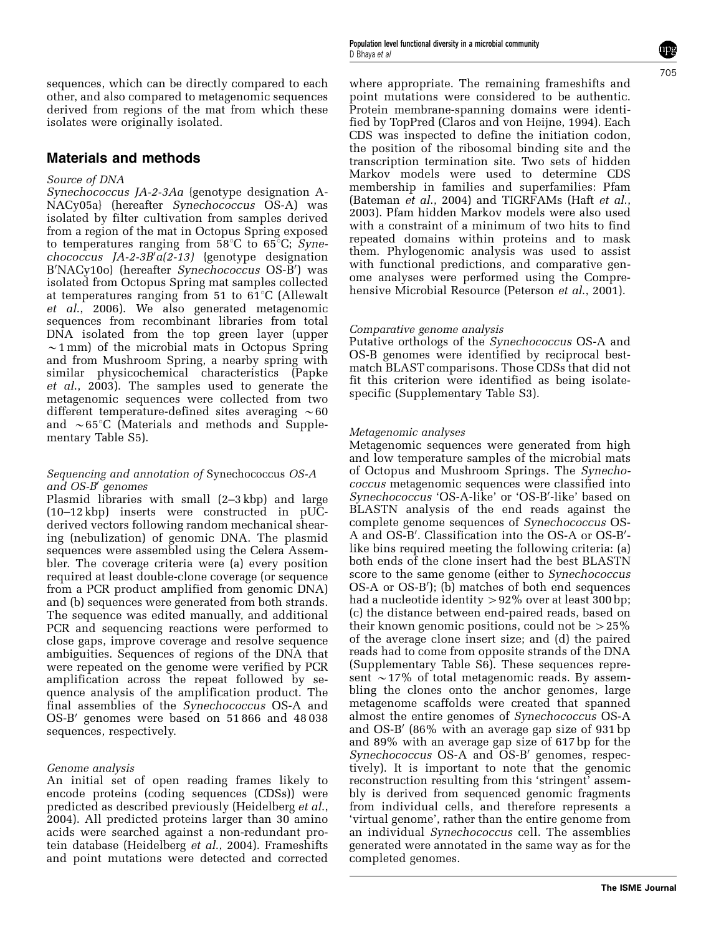sequences, which can be directly compared to each other, and also compared to metagenomic sequences derived from regions of the mat from which these isolates were originally isolated.

#### Materials and methods

#### Source of DNA

Synechococcus JA-2-3Aa {genotype designation A-NACy05a} (hereafter Synechococcus OS-A) was isolated by filter cultivation from samples derived from a region of the mat in Octopus Spring exposed to temperatures ranging from  $58^{\circ}$ C to  $65^{\circ}$ C; Syne $chococcus$  JA-2-3B' $a(2-13)$  {genotype designation B'NACy10o) (hereafter Synechococcus OS-B') was isolated from Octopus Spring mat samples collected at temperatures ranging from 51 to  $61^{\circ}$ C (Allewalt  $et$   $al.,$  2006). We also generated metagenomic sequences from recombinant libraries from total DNA isolated from the top green layer (upper  $\sim$ 1 mm) of the microbial mats in Octopus Spring and from Mushroom Spring, a nearby spring with similar physicochemical characteristics (Papke et al., 2003). The samples used to generate the metagenomic sequences were collected from two different temperature-defined sites averaging  $\sim 60$ and  $\sim 65^{\circ}$ C (Materials and methods and Supplementary Table S5).

#### Sequencing and annotation of Synechococcus OS-A and  $OS-B'$  genomes

Plasmid libraries with small (2–3 kbp) and large  $(10-12 \text{ kbp})$  inserts were constructed in pUCderived vectors following random mechanical shearing (nebulization) of genomic DNA. The plasmid sequences were assembled using the Celera Assembler. The coverage criteria were (a) every position required at least double-clone coverage (or sequence from a PCR product amplified from genomic DNA) and (b) sequences were generated from both strands. The sequence was edited manually, and additional PCR and sequencing reactions were performed to close gaps, improve coverage and resolve sequence ambiguities. Sequences of regions of the DNA that were repeated on the genome were verified by PCR amplification across the repeat followed by sequence analysis of the amplification product. The final assemblies of the Synechococcus OS-A and OS-B' genomes were based on 51 866 and 48 038 sequences, respectively.

#### Genome analysis

An initial set of open reading frames likely to encode proteins (coding sequences (CDSs)) were predicted as described previously (Heidelberg et al., 2004). All predicted proteins larger than 30 amino acids were searched against a non-redundant protein database (Heidelberg et al., 2004). Frameshifts and point mutations were detected and corrected

Population level functional diversity in a microbial community D Bhaya et al

where appropriate. The remaining frameshifts and point mutations were considered to be authentic. Protein membrane-spanning domains were identified by TopPred (Claros and von Heijne, 1994). Each CDS was inspected to define the initiation codon, the position of the ribosomal binding site and the transcription termination site. Two sets of hidden Markov models were used to determine CDS membership in families and superfamilies: Pfam (Bateman et al., 2004) and TIGRFAMs (Haft et al., 2003). Pfam hidden Markov models were also used with a constraint of a minimum of two hits to find repeated domains within proteins and to mask them. Phylogenomic analysis was used to assist with functional predictions, and comparative genome analyses were performed using the Compre-

#### Comparative genome analysis

Putative orthologs of the Synechococcus OS-A and OS-B genomes were identified by reciprocal bestmatch BLAST comparisons. Those CDSs that did not fit this criterion were identified as being isolatespecific (Supplementary Table S3).

hensive Microbial Resource (Peterson et al., 2001).

#### Metagenomic analyses

Metagenomic sequences were generated from high and low temperature samples of the microbial mats of Octopus and Mushroom Springs. The Synechococcus metagenomic sequences were classified into Synechococcus 'OS-A-like' or 'OS-B'-like' based on BLASTN analysis of the end reads against the complete genome sequences of Synechococcus OS-A and OS-B'. Classification into the OS-A or OS-B'like bins required meeting the following criteria: (a) both ends of the clone insert had the best BLASTN score to the same genome (either to Synechococcus OS-A or OS-B'); (b) matches of both end sequences had a nucleotide identity  $> 92\%$  over at least 300 bp; (c) the distance between end-paired reads, based on their known genomic positions, could not be  $>25\%$ of the average clone insert size; and (d) the paired reads had to come from opposite strands of the DNA (Supplementary Table S6). These sequences represent  $\sim$ 17% of total metagenomic reads. By assembling the clones onto the anchor genomes, large metagenome scaffolds were created that spanned almost the entire genomes of Synechococcus OS-A and  $OS-B'$  (86% with an average gap size of 931 bp and 89% with an average gap size of 617 bp for the Synechococcus OS-A and OS-B' genomes, respectively). It is important to note that the genomic reconstruction resulting from this 'stringent' assembly is derived from sequenced genomic fragments from individual cells, and therefore represents a 'virtual genome', rather than the entire genome from an individual Synechococcus cell. The assemblies generated were annotated in the same way as for the completed genomes.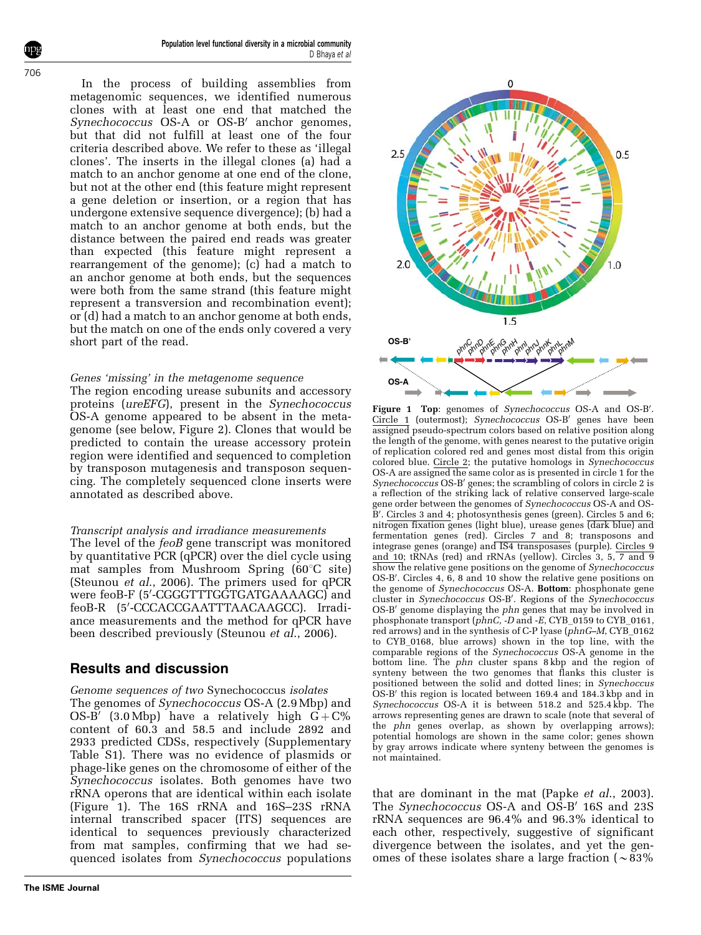Population level functional diversity in a microbial community D Bhaya et al

In the process of building assemblies from metagenomic sequences, we identified numerous clones with at least one end that matched the Synechococcus OS-A or OS-B' anchor genomes, but that did not fulfill at least one of the four criteria described above. We refer to these as 'illegal clones'. The inserts in the illegal clones (a) had a match to an anchor genome at one end of the clone, but not at the other end (this feature might represent a gene deletion or insertion, or a region that has undergone extensive sequence divergence); (b) had a match to an anchor genome at both ends, but the distance between the paired end reads was greater than expected (this feature might represent a rearrangement of the genome); (c) had a match to an anchor genome at both ends, but the sequences were both from the same strand (this feature might represent a transversion and recombination event); or (d) had a match to an anchor genome at both ends, but the match on one of the ends only covered a very short part of the read.

#### Genes 'missing' in the metagenome sequence

The region encoding urease subunits and accessory proteins (ureEFG), present in the Synechococcus OS-A genome appeared to be absent in the metagenome (see below, Figure 2). Clones that would be predicted to contain the urease accessory protein region were identified and sequenced to completion by transposon mutagenesis and transposon sequencing. The completely sequenced clone inserts were annotated as described above.

#### Transcript analysis and irradiance measurements

The level of the feoB gene transcript was monitored by quantitative PCR (qPCR) over the diel cycle using mat samples from Mushroom Spring  $(60^{\circ}C \text{ site})$ (Steunou et al., 2006). The primers used for qPCR were feoB-F (5'-CGGGTTTGGTGATGAAAAGC) and feoB-R (5'-CCCACCGAATTTAACAAGCC). Irradiance measurements and the method for qPCR have been described previously (Steunou *et al.*, 2006).

#### Results and discussion

Genome sequences of two Synechococcus isolates The genomes of Synechococcus OS-A (2.9 Mbp) and OS-B' (3.0 Mbp) have a relatively high  $G + C\%$ content of 60.3 and 58.5 and include 2892 and 2933 predicted CDSs, respectively (Supplementary Table S1). There was no evidence of plasmids or phage-like genes on the chromosome of either of the Synechococcus isolates. Both genomes have two rRNA operons that are identical within each isolate  $(Figure 1)$ . The 16S rRNA and 16S-23S rRNA internal transcribed spacer (ITS) sequences are identical to sequences previously characterized from mat samples, confirming that we had sequenced isolates from Synechococcus populations



Figure 1 Top: genomes of Synechococcus OS-A and OS-B'. Circle 1 (outermost); Synechococcus OS-B' genes have been assigned pseudo-spectrum colors based on relative position along the length of the genome, with genes nearest to the putative origin of replication colored red and genes most distal from this origin colored blue. Circle 2; the putative homologs in Synechococcus OS-A are assigned the same color as is presented in circle 1 for the Synechococcus OS-B' genes; the scrambling of colors in circle 2 is a reflection of the striking lack of relative conserved large-scale gene order between the genomes of Synechococcus OS-A and OS-B'. Circles 3 and 4; photosynthesis genes (green). Circles 5 and 6; nitrogen fixation genes (light blue), urease genes (dark blue) and fermentation genes (red). Circles 7 and 8; transposons and integrase genes (orange) and IS4 transposases (purple). Circles 9 and 10; tRNAs (red) and rRNAs (yellow). Circles 3, 5, 7 and 9 show the relative gene positions on the genome of *Synechococcus* OS-B'. Circles 4, 6, 8 and 10 show the relative gene positions on the genome of *Synechococcus* OS-A. Bottom: phosphonate gene cluster in Synechococcus OS-B'. Regions of the Synechococcus OS-B' genome displaying the phn genes that may be involved in phosphonate transport  $(\bar{p}hnC, -D \text{ and } -E, CYB_0159$  to CYB 0161, red arrows) and in the synthesis of C-P lyase (phnG–M, CYB\_0162 to CYB\_0168, blue arrows) shown in the top line, with the comparable regions of the Synechococcus OS-A genome in the bottom line. The phn cluster spans 8 kbp and the region of synteny between the two genomes that flanks this cluster is positioned between the solid and dotted lines; in Synechoccus  $OS-B'$  this region is located between 169.4 and 184.3 kbp and in Synechococcus OS-A it is between 518.2 and 525.4 kbp. The arrows representing genes are drawn to scale (note that several of the phn genes overlap, as shown by overlapping arrows); potential homologs are shown in the same color; genes shown by gray arrows indicate where synteny between the genomes is not maintained.

that are dominant in the mat (Papke *et al.*, 2003). The Synechococcus OS-A and OS-B' 16S and 23S rRNA sequences are 96.4% and 96.3% identical to each other, respectively, suggestive of significant divergence between the isolates, and yet the genomes of these isolates share a large fraction ( $\sim 83\%$ )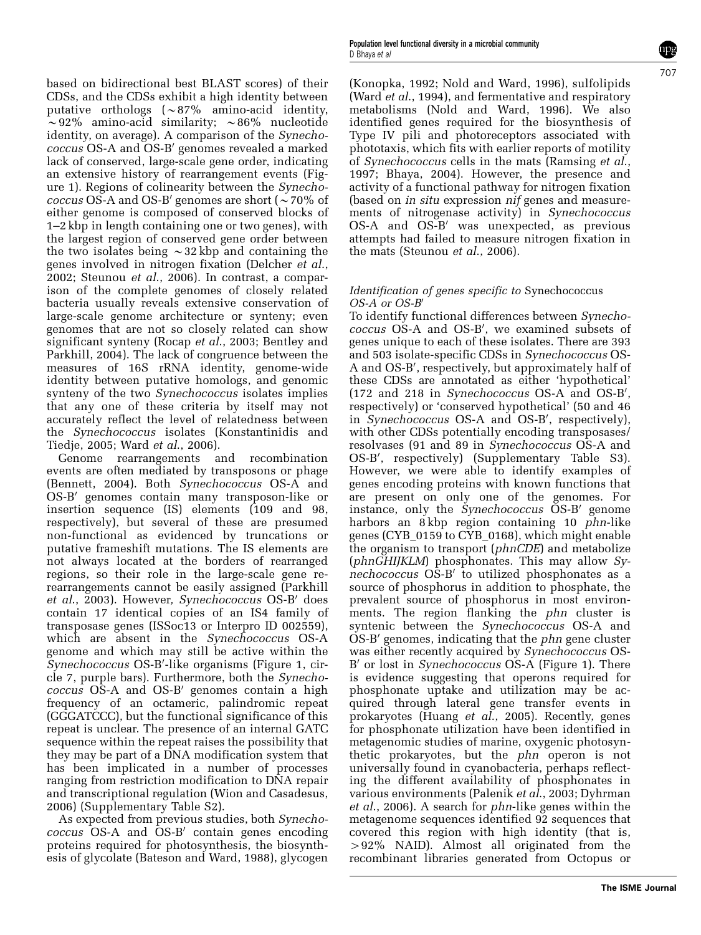based on bidirectional best BLAST scores) of their CDSs, and the CDSs exhibit a high identity between putative orthologs  $(\sim 87\%$  amino-acid identity,  $\sim$ 92% amino-acid similarity;  $\sim$ 86% nucleotide identity, on average). A comparison of the *Synecho*coccus OS-A and OS-B' genomes revealed a marked lack of conserved, large-scale gene order, indicating an extensive history of rearrangement events (Figure 1). Regions of colinearity between the Synechococcus OS-A and OS-B' genomes are short ( $\sim$  70% of either genome is composed of conserved blocks of 1–2 kbp in length containing one or two genes), with the largest region of conserved gene order between the two isolates being  $\sim$ 32 kbp and containing the genes involved in nitrogen fixation (Delcher et al., 2002; Steunou et al., 2006). In contrast, a comparison of the complete genomes of closely related bacteria usually reveals extensive conservation of large-scale genome architecture or synteny; even genomes that are not so closely related can show significant synteny (Rocap et al., 2003; Bentley and Parkhill, 2004). The lack of congruence between the measures of 16S rRNA identity, genome-wide identity between putative homologs, and genomic synteny of the two *Synechococcus* isolates implies that any one of these criteria by itself may not accurately reflect the level of relatedness between the Synechococcus isolates (Konstantinidis and Tiedje, 2005; Ward et al., 2006).

Genome rearrangements and recombination events are often mediated by transposons or phage (Bennett, 2004). Both Synechococcus OS-A and OS-B<sup>'</sup> genomes contain many transposon-like or insertion sequence (IS) elements (109 and 98, respectively), but several of these are presumed non-functional as evidenced by truncations or putative frameshift mutations. The IS elements are not always located at the borders of rearranged regions, so their role in the large-scale gene rerearrangements cannot be easily assigned (Parkhill et al., 2003). However, Synechococcus OS-B' does contain 17 identical copies of an IS4 family of transposase genes (ISSoc13 or Interpro ID 002559), which are absent in the Synechococcus OS-A genome and which may still be active within the Synechococcus OS-B'-like organisms (Figure 1, circle 7, purple bars). Furthermore, both the Synecho $coccus$   $O\$ S-A and  $O\$ S-B' genomes contain a high frequency of an octameric, palindromic repeat (GGGATCCC), but the functional significance of this repeat is unclear. The presence of an internal GATC sequence within the repeat raises the possibility that they may be part of a DNA modification system that has been implicated in a number of processes ranging from restriction modification to DNA repair and transcriptional regulation (Wion and Casadesus, 2006) (Supplementary Table S2).

As expected from previous studies, both Synecho $coccus$  OS-A and  $OS-B'$  contain genes encoding proteins required for photosynthesis, the biosynthesis of glycolate (Bateson and Ward, 1988), glycogen

(Konopka, 1992; Nold and Ward, 1996), sulfolipids (Ward *et al.*, 1994), and fermentative and respiratory metabolisms (Nold and Ward, 1996). We also identified genes required for the biosynthesis of Type IV pili and photoreceptors associated with phototaxis, which fits with earlier reports of motility of Synechococcus cells in the mats (Ramsing et al., 1997; Bhaya, 2004). However, the presence and activity of a functional pathway for nitrogen fixation (based on in situ expression nif genes and measurements of nitrogenase activity) in Synechococcus  $OS-A$  and  $OS-B'$  was unexpected, as previous attempts had failed to measure nitrogen fixation in the mats (Steunou et al., 2006).

#### Identification of genes specific to Synechococcus  $OS-A$  or  $OS-B'$

To identify functional differences between Synechococcus OS-A and OS-B', we examined subsets of genes unique to each of these isolates. There are 393 and 503 isolate-specific CDSs in Synechococcus OS-A and OS-B', respectively, but approximately half of these CDSs are annotated as either 'hypothetical' (172 and 218 in Synechococcus OS-A and OS-B', respectively) or 'conserved hypothetical' (50 and 46 in Synechococcus OS-A and OS-B', respectively), with other CDSs potentially encoding transposases/ resolvases (91 and 89 in Synechococcus OS-A and OS-B', respectively) (Supplementary Table S3). However, we were able to identify examples of genes encoding proteins with known functions that are present on only one of the genomes. For instance, only the Synechococcus OS-B' genome harbors an 8 kbp region containing 10 phn-like genes (CYB\_0159 to CYB\_0168), which might enable the organism to transport (phnCDE) and metabolize (phnGHIJKLM) phosphonates. This may allow Sy $nechococcus$  OS-B<sup> $\prime$ </sup> to utilized phosphonates as a source of phosphorus in addition to phosphate, the prevalent source of phosphorus in most environments. The region flanking the *phn* cluster is syntenic between the *Synechococcus* OS-A and  $OS-B'$  genomes, indicating that the *phn* gene cluster was either recently acquired by Synechococcus OS-B' or lost in *Synechococcus* OS-A (Figure 1). There is evidence suggesting that operons required for phosphonate uptake and utilization may be acquired through lateral gene transfer events in prokaryotes (Huang et  $a\tilde{I}$ , 2005). Recently, genes for phosphonate utilization have been identified in metagenomic studies of marine, oxygenic photosynthetic prokaryotes, but the phn operon is not universally found in cyanobacteria, perhaps reflecting the different availability of phosphonates in various environments (Palenik et al., 2003; Dyhrman et al., 2006). A search for phn-like genes within the metagenome sequences identified 92 sequences that covered this region with high identity (that is, 492% NAID). Almost all originated from the recombinant libraries generated from Octopus or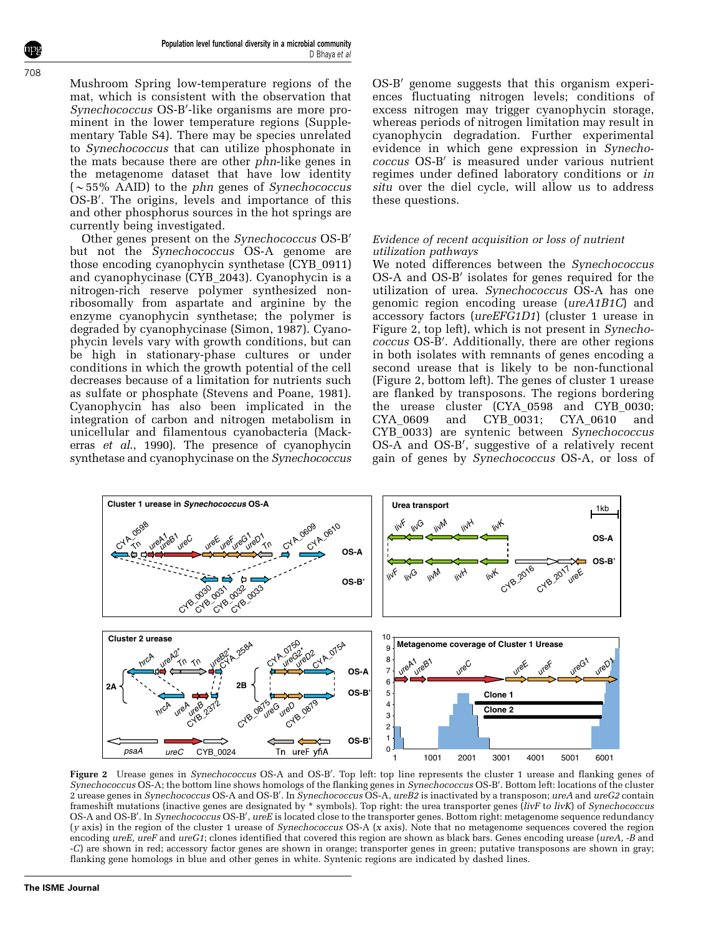Mushroom Spring low-temperature regions of the mat, which is consistent with the observation that Synechococcus OS-B'-like organisms are more prominent in the lower temperature regions (Supplementary Table S4). There may be species unrelated to Synechococcus that can utilize phosphonate in the mats because there are other phn-like genes in the metagenome dataset that have low identity  $\sim 55\%$  AAID) to the phn genes of Synechococcus OS-B'. The origins, levels and importance of this and other phosphorus sources in the hot springs are currently being investigated.

Other genes present on the Synechococcus OS-B' but not the Synechococcus OS-A genome are those encoding cyanophycin synthetase (CYB\_0911) and cyanophycinase (CYB\_2043). Cyanophycin is a nitrogen-rich reserve polymer synthesized nonribosomally from aspartate and arginine by the enzyme cyanophycin synthetase; the polymer is degraded by cyanophycinase (Simon, 1987). Cyanophycin levels vary with growth conditions, but can be high in stationary-phase cultures or under conditions in which the growth potential of the cell decreases because of a limitation for nutrients such as sulfate or phosphate (Stevens and Poane, 1981). Cyanophycin has also been implicated in the integration of carbon and nitrogen metabolism in unicellular and filamentous cyanobacteria (Mackerras et al., 1990). The presence of cyanophycin synthetase and cyanophycinase on the Synechococcus  $OS-B'$  genome suggests that this organism experiences fluctuating nitrogen levels; conditions of excess nitrogen may trigger cyanophycin storage, whereas periods of nitrogen limitation may result in cyanophycin degradation. Further experimental evidence in which gene expression in Synechococcus OS-B' is measured under various nutrient regimes under defined laboratory conditions or in situ over the diel cycle, will allow us to address these questions.

#### Evidence of recent acquisition or loss of nutrient utilization pathways

We noted differences between the Synechococcus OS-A and OS-B' isolates for genes required for the utilization of urea. Synechococcus OS-A has one genomic region encoding urease (ureA1B1C) and accessory factors (ureEFG1D1) (cluster 1 urease in Figure 2, top left), which is not present in Synechococcus OS-B'. Additionally, there are other regions in both isolates with remnants of genes encoding a second urease that is likely to be non-functional (Figure 2, bottom left). The genes of cluster 1 urease are flanked by transposons. The regions bordering the urease cluster (CYA\_0598 and CYB\_0030; CYA\_0609 and CYB\_0031; CYA\_0610 and CYB 0033) are syntenic between Synechococcus OS-A and OS-B', suggestive of a relatively recent gain of genes by Synechococcus OS-A, or loss of



Figure 2 Urease genes in Synechococcus OS-A and OS-B'. Top left: top line represents the cluster 1 urease and flanking genes of Synechococcus OS-A; the bottom line shows homologs of the flanking genes in Synechococcus OS-B'. Bottom left: locations of the cluster 2 urease genes in Synechococcus OS-A and OS-B'. In Synechococcus OS-A, ureB2 is inactivated by a transposon; ureA and ureG2 contain frameshift mutations (inactive genes are designated by \* symbols). Top right: the urea transporter genes (livF to livK) of Synechococcus OS-A and OS-B'. In Synechococcus OS-B', ureE is located close to the transporter genes. Bottom right: metagenome sequence redundancy (y axis) in the region of the cluster 1 urease of Synechococcus OS-A (x axis). Note that no metagenome sequences covered the region encoding ureE, ureF and ureG1; clones identified that covered this region are shown as black bars. Genes encoding urease (ureA, -B and -C) are shown in red; accessory factor genes are shown in orange; transporter genes in green; putative transposons are shown in gray; flanking gene homologs in blue and other genes in white. Syntenic regions are indicated by dashed lines.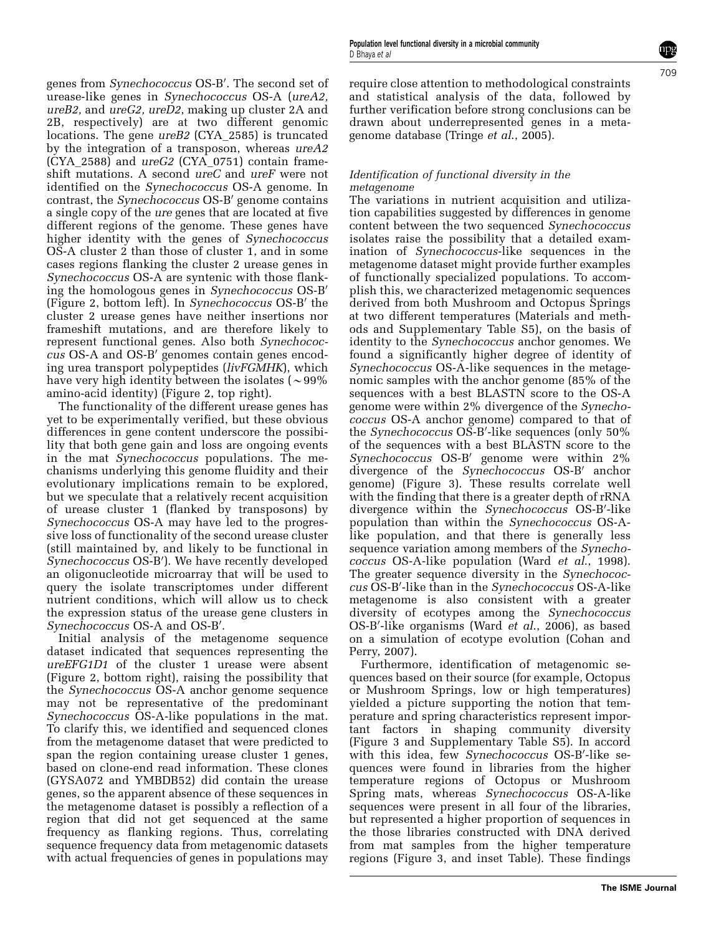genes from Synechococcus OS-B'. The second set of urease-like genes in Synechococcus OS-A (ureA2, ureB2, and ureG2, ureD2, making up cluster 2A and 2B, respectively) are at two different genomic locations. The gene ureB2 (CYA\_2585) is truncated by the integration of a transposon, whereas ureA2  $(CYA 2588)$  and  $ureG2$  (CYA 0751) contain frameshift mutations. A second ureC and ureF were not identified on the Synechococcus OS-A genome. In contrast, the *Synechococcus* OS-B' genome contains a single copy of the ure genes that are located at five different regions of the genome. These genes have higher identity with the genes of *Synechococcus* OS-A cluster 2 than those of cluster 1, and in some cases regions flanking the cluster 2 urease genes in Synechococcus OS-A are syntenic with those flanking the homologous genes in Synechococcus OS-B' (Figure 2, bottom left). In Synechococcus OS-B' the cluster 2 urease genes have neither insertions nor frameshift mutations, and are therefore likely to represent functional genes. Also both Synechococ- $\text{cus } OS-A$  and  $OS-B'$  genomes contain genes encoding urea transport polypeptides (livFGMHK), which have very high identity between the isolates ( $\sim$ 99%) amino-acid identity) (Figure 2, top right).

The functionality of the different urease genes has yet to be experimentally verified, but these obvious differences in gene content underscore the possibility that both gene gain and loss are ongoing events in the mat Synechococcus populations. The mechanisms underlying this genome fluidity and their evolutionary implications remain to be explored, but we speculate that a relatively recent acquisition of urease cluster 1 (flanked by transposons) by Synechococcus OS-A may have led to the progressive loss of functionality of the second urease cluster (still maintained by, and likely to be functional in Synechococcus OS-B'). We have recently developed an oligonucleotide microarray that will be used to query the isolate transcriptomes under different nutrient conditions, which will allow us to check the expression status of the urease gene clusters in Synechococcus OS-A and OS-B'.

Initial analysis of the metagenome sequence dataset indicated that sequences representing the ureEFG1D1 of the cluster 1 urease were absent (Figure 2, bottom right), raising the possibility that the Synechococcus OS-A anchor genome sequence may not be representative of the predominant Synechococcus OS-A-like populations in the mat. To clarify this, we identified and sequenced clones from the metagenome dataset that were predicted to span the region containing urease cluster 1 genes, based on clone-end read information. These clones (GYSA072 and YMBDB52) did contain the urease genes, so the apparent absence of these sequences in the metagenome dataset is possibly a reflection of a region that did not get sequenced at the same frequency as flanking regions. Thus, correlating sequence frequency data from metagenomic datasets with actual frequencies of genes in populations may

require close attention to methodological constraints and statistical analysis of the data, followed by further verification before strong conclusions can be drawn about underrepresented genes in a metagenome database (Tringe et al., 2005).

#### Identification of functional diversity in the metagenome

The variations in nutrient acquisition and utilization capabilities suggested by differences in genome content between the two sequenced Synechococcus isolates raise the possibility that a detailed examination of Synechococcus-like sequences in the metagenome dataset might provide further examples of functionally specialized populations. To accomplish this, we characterized metagenomic sequences derived from both Mushroom and Octopus Springs at two different temperatures (Materials and methods and Supplementary Table S5), on the basis of identity to the Synechococcus anchor genomes. We found a significantly higher degree of identity of Synechococcus OS-A-like sequences in the metagenomic samples with the anchor genome (85% of the sequences with a best BLASTN score to the OS-A genome were within 2% divergence of the Synechococcus OS-A anchor genome) compared to that of the Synechococcus OS-B'-like sequences (only 50% of the sequences with a best BLASTN score to the Synechococcus  $OS-B'$  genome were within  $2\%$ divergence of the Synechococcus OS-B' anchor genome) (Figure 3). These results correlate well with the finding that there is a greater depth of rRNA divergence within the Synechococcus OS-B'-like population than within the Synechococcus OS-Alike population, and that there is generally less sequence variation among members of the Synechococcus OS-A-like population (Ward et al., 1998). The greater sequence diversity in the Synechococcus OS-B'-like than in the Synechococcus OS-A-like metagenome is also consistent with a greater diversity of ecotypes among the Synechococcus OS-B'-like organisms (Ward et al., 2006), as based on a simulation of ecotype evolution (Cohan and Perry, 2007).

Furthermore, identification of metagenomic sequences based on their source (for example, Octopus or Mushroom Springs, low or high temperatures) yielded a picture supporting the notion that temperature and spring characteristics represent important factors in shaping community diversity (Figure 3 and Supplementary Table S5). In accord with this idea, few Synechococcus OS-B'-like sequences were found in libraries from the higher temperature regions of Octopus or Mushroom Spring mats, whereas Synechococcus OS-A-like sequences were present in all four of the libraries, but represented a higher proportion of sequences in the those libraries constructed with DNA derived from mat samples from the higher temperature regions (Figure 3, and inset Table). These findings

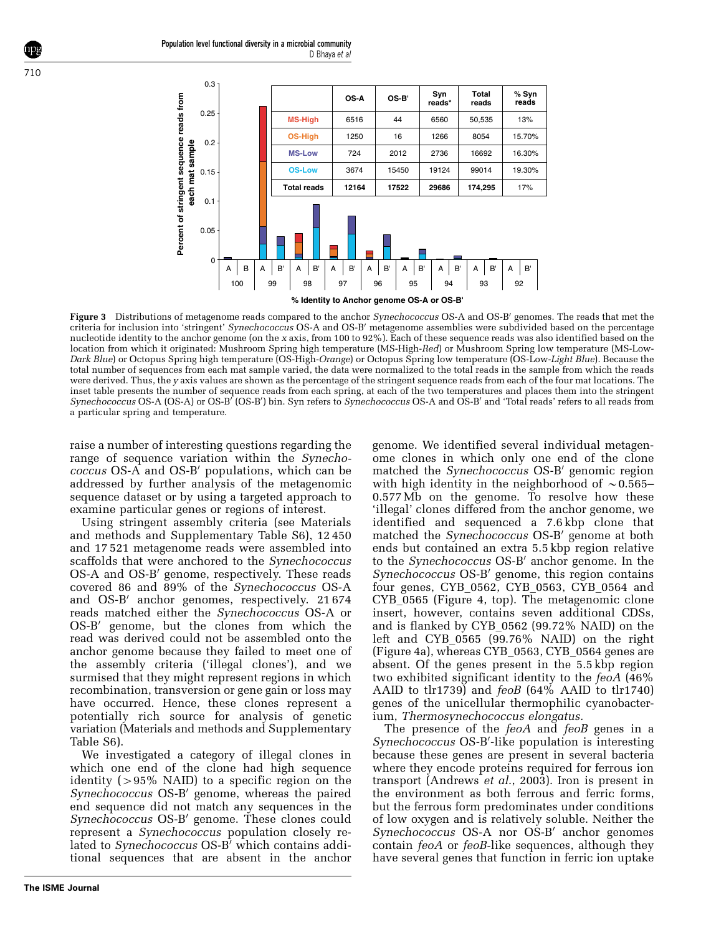

Figure 3 Distributions of metagenome reads compared to the anchor Synechococcus OS-A and OS-B' genomes. The reads that met the criteria for inclusion into 'stringent' Synechococcus OS-A and OS-B' metagenome assemblies were subdivided based on the percentage nucleotide identity to the anchor genome (on the x axis, from 100 to 92%). Each of these sequence reads was also identified based on the location from which it originated: Mushroom Spring high temperature (MS-High-Red) or Mushroom Spring low temperature (MS-Low-Dark Blue) or Octopus Spring high temperature (OS-High-Orange) or Octopus Spring low temperature (OS-Low-Light Blue). Because the total number of sequences from each mat sample varied, the data were normalized to the total reads in the sample from which the reads were derived. Thus, the y axis values are shown as the percentage of the stringent sequence reads from each of the four mat locations. The inset table presents the number of sequence reads from each spring, at each of the two temperatures and places them into the stringent Synechococcus OS-A (OS-A) or OS-B<sup>r</sup> (OS-B') bin. Syn refers to Synechococcus OS-A and OS-B' and 'Total reads' refers to all reads from a particular spring and temperature.

raise a number of interesting questions regarding the range of sequence variation within the *Synecho* $coccus$  OS-A and OS-B' populations, which can be addressed by further analysis of the metagenomic sequence dataset or by using a targeted approach to examine particular genes or regions of interest.

Using stringent assembly criteria (see Materials and methods and Supplementary Table S6), 12 450 and 17 521 metagenome reads were assembled into scaffolds that were anchored to the Synechococcus OS-A and OS-B' genome, respectively. These reads covered 86 and 89% of the Synechococcus OS-A and OS-B' anchor genomes, respectively. 21 674 reads matched either the Synechococcus OS-A or  $OS-B'$  genome, but the clones from which the read was derived could not be assembled onto the anchor genome because they failed to meet one of the assembly criteria ('illegal clones'), and we surmised that they might represent regions in which recombination, transversion or gene gain or loss may have occurred. Hence, these clones represent a potentially rich source for analysis of genetic variation (Materials and methods and Supplementary Table S6).

We investigated a category of illegal clones in which one end of the clone had high sequence identity  $(>95\%$  NAID) to a specific region on the Synechococcus OS-B' genome, whereas the paired end sequence did not match any sequences in the Synechococcus OS-B' genome. These clones could represent a Synechococcus population closely related to Synechococcus OS-B' which contains additional sequences that are absent in the anchor genome. We identified several individual metagenome clones in which only one end of the clone matched the Synechococcus OS-B' genomic region with high identity in the neighborhood of  $\sim 0.565-$ 0.577 Mb on the genome. To resolve how these 'illegal' clones differed from the anchor genome, we identified and sequenced a 7.6 kbp clone that matched the Synechococcus OS-B' genome at both ends but contained an extra 5.5 kbp region relative to the Synechococcus OS-B' anchor genome. In the Synechococcus OS-B' genome, this region contains four genes, CYB\_0562, CYB\_0563, CYB\_0564 and CYB\_0565 (Figure 4, top). The metagenomic clone insert, however, contains seven additional CDSs, and is flanked by CYB\_0562 (99.72% NAID) on the left and CYB\_0565 (99.76% NAID) on the right (Figure 4a), whereas CYB\_0563, CYB\_0564 genes are absent. Of the genes present in the 5.5 kbp region two exhibited significant identity to the feoA (46% AAID to tlr1739) and  $feoB$  (64% AAID to tlr1740) genes of the unicellular thermophilic cyanobacterium, Thermosynechococcus elongatus.

The presence of the *feoA* and *feoB* genes in a Synechococcus OS-B'-like population is interesting because these genes are present in several bacteria where they encode proteins required for ferrous ion transport (Andrews et al., 2003). Iron is present in the environment as both ferrous and ferric forms, but the ferrous form predominates under conditions of low oxygen and is relatively soluble. Neither the Synechococcus OS-A nor OS-B' anchor genomes contain *feoA* or *feoB*-like sequences, although they have several genes that function in ferric ion uptake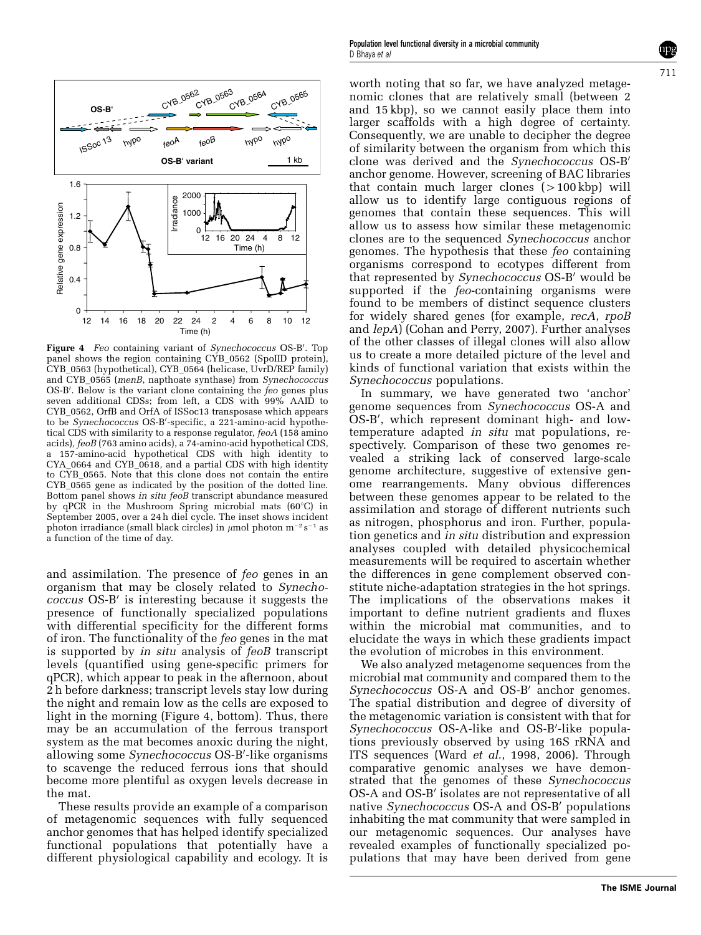

Figure 4 Feo containing variant of Synechococcus OS-B'. Top panel shows the region containing CYB\_0562 (SpoIID protein), CYB\_0563 (hypothetical), CYB\_0564 (helicase, UvrD/REP family) and CYB\_0565 (menB, napthoate synthase) from Synechococcus OS-B'. Below is the variant clone containing the  $\dot{fe}$  genes plus seven additional CDSs; from left, a CDS with 99% AAID to CYB\_0562, OrfB and OrfA of ISSoc13 transposase which appears to be Synechococcus OS-B'-specific, a 221-amino-acid hypothetical CDS with similarity to a response regulator, feoA (158 amino acids), feoB (763 amino acids), a 74-amino-acid hypothetical CDS, a 157-amino-acid hypothetical CDS with high identity to CYA\_0664 and CYB\_0618, and a partial CDS with high identity to CYB\_0565. Note that this clone does not contain the entire CYB\_0565 gene as indicated by the position of the dotted line. Bottom panel shows in situ feoB transcript abundance measured by qPCR in the Mushroom Spring microbial mats  $(60^{\circ}C)$  in September 2005, over a 24 h diel cycle. The inset shows incident photon irradiance (small black circles) in  $\mu$ mol photon m<sup>-2</sup> s<sup>-1</sup> as a function of the time of day.

and assimilation. The presence of feo genes in an organism that may be closely related to Synechococcus OS-B<sup>'</sup> is interesting because it suggests the presence of functionally specialized populations with differential specificity for the different forms of iron. The functionality of the feo genes in the mat is supported by *in situ* analysis of *feoB* transcript levels (quantified using gene-specific primers for qPCR), which appear to peak in the afternoon, about 2 h before darkness; transcript levels stay low during the night and remain low as the cells are exposed to light in the morning (Figure 4, bottom). Thus, there may be an accumulation of the ferrous transport system as the mat becomes anoxic during the night, allowing some Synechococcus OS-B'-like organisms to scavenge the reduced ferrous ions that should become more plentiful as oxygen levels decrease in the mat.

These results provide an example of a comparison of metagenomic sequences with fully sequenced anchor genomes that has helped identify specialized functional populations that potentially have a different physiological capability and ecology. It is worth noting that so far, we have analyzed metagenomic clones that are relatively small (between 2 and 15 kbp), so we cannot easily place them into larger scaffolds with a high degree of certainty. Consequently, we are unable to decipher the degree of similarity between the organism from which this clone was derived and the *Synechococcus* OS-B' anchor genome. However, screening of BAC libraries that contain much larger clones  $(>100$  kbp) will allow us to identify large contiguous regions of genomes that contain these sequences. This will allow us to assess how similar these metagenomic clones are to the sequenced Synechococcus anchor genomes. The hypothesis that these feo containing organisms correspond to ecotypes different from that represented by Synechococcus OS-B' would be supported if the feo-containing organisms were found to be members of distinct sequence clusters for widely shared genes (for example, recA, rpoB and lepA) (Cohan and Perry, 2007). Further analyses of the other classes of illegal clones will also allow us to create a more detailed picture of the level and kinds of functional variation that exists within the Synechococcus populations.

In summary, we have generated two 'anchor' genome sequences from Synechococcus OS-A and OS-B', which represent dominant high- and lowtemperature adapted in situ mat populations, respectively. Comparison of these two genomes revealed a striking lack of conserved large-scale genome architecture, suggestive of extensive genome rearrangements. Many obvious differences between these genomes appear to be related to the assimilation and storage of different nutrients such as nitrogen, phosphorus and iron. Further, population genetics and in situ distribution and expression analyses coupled with detailed physicochemical measurements will be required to ascertain whether the differences in gene complement observed constitute niche-adaptation strategies in the hot springs. The implications of the observations makes it important to define nutrient gradients and fluxes within the microbial mat communities, and to elucidate the ways in which these gradients impact the evolution of microbes in this environment.

We also analyzed metagenome sequences from the microbial mat community and compared them to the  $Synechococcus$  OS-A and OS-B' anchor genomes. The spatial distribution and degree of diversity of the metagenomic variation is consistent with that for Synechococcus OS-A-like and OS-B'-like populations previously observed by using 16S rRNA and ITS sequences (Ward et al., 1998, 2006). Through comparative genomic analyses we have demonstrated that the genomes of these Synechococcus OS-A and OS-B' isolates are not representative of all native Synechococcus OS-A and OS-B' populations inhabiting the mat community that were sampled in our metagenomic sequences. Our analyses have revealed examples of functionally specialized populations that may have been derived from gene

711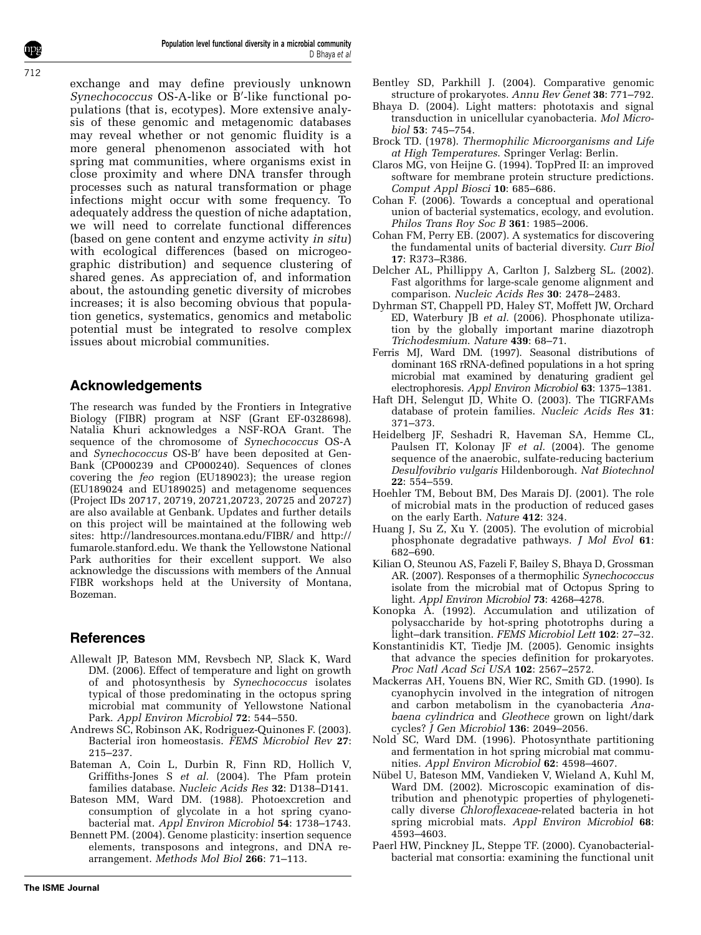exchange and may define previously unknown  $Synechococcus$  OS-A-like or  $B'$ -like functional populations (that is, ecotypes). More extensive analysis of these genomic and metagenomic databases may reveal whether or not genomic fluidity is a more general phenomenon associated with hot spring mat communities, where organisms exist in close proximity and where DNA transfer through processes such as natural transformation or phage infections might occur with some frequency. To adequately address the question of niche adaptation, we will need to correlate functional differences (based on gene content and enzyme activity in situ) with ecological differences (based on microgeographic distribution) and sequence clustering of shared genes. As appreciation of, and information about, the astounding genetic diversity of microbes increases; it is also becoming obvious that population genetics, systematics, genomics and metabolic potential must be integrated to resolve complex issues about microbial communities.

## Acknowledgements

The research was funded by the Frontiers in Integrative Biology (FIBR) program at NSF (Grant EF-0328698). Natalia Khuri acknowledges a NSF-ROA Grant. The sequence of the chromosome of Synechococcus OS-A and Synechococcus OS-B' have been deposited at Gen-Bank (CP000239 and CP000240). Sequences of clones covering the feo region (EU189023); the urease region (EU189024 and EU189025) and metagenome sequences (Project IDs 20717, 20719, 20721,20723, 20725 and 20727) are also available at Genbank. Updates and further details on this project will be maintained at the following web sites: http://landresources.montana.edu/FIBR/ and http:// fumarole.stanford.edu. We thank the Yellowstone National Park authorities for their excellent support. We also acknowledge the discussions with members of the Annual FIBR workshops held at the University of Montana, Bozeman.

# References

- Allewalt JP, Bateson MM, Revsbech NP, Slack K, Ward DM. (2006). Effect of temperature and light on growth of and photosynthesis by Synechococcus isolates typical of those predominating in the octopus spring microbial mat community of Yellowstone National Park. Appl Environ Microbiol 72: 544–550.
- Andrews SC, Robinson AK, Rodriguez-Quinones F. (2003). Bacterial iron homeostasis. FEMS Microbiol Rev 27: 215–237.
- Bateman A, Coin L, Durbin R, Finn RD, Hollich V, Griffiths-Jones S et al. (2004). The Pfam protein families database. Nucleic Acids Res 32: D138–D141.
- Bateson MM, Ward DM. (1988). Photoexcretion and consumption of glycolate in a hot spring cyanobacterial mat. Appl Environ Microbiol 54: 1738–1743.
- Bennett PM. (2004). Genome plasticity: insertion sequence elements, transposons and integrons, and DNA rearrangement. Methods Mol Biol 266: 71–113.
- Bentley SD, Parkhill J. (2004). Comparative genomic structure of prokaryotes. Annu Rev Genet 38: 771–792.
- Bhaya D. (2004). Light matters: phototaxis and signal transduction in unicellular cyanobacteria. Mol Microbiol 53: 745–754.
- Brock TD. (1978). Thermophilic Microorganisms and Life at High Temperatures. Springer Verlag: Berlin.
- Claros MG, von Heijne G. (1994). TopPred II: an improved software for membrane protein structure predictions. Comput Appl Biosci 10: 685–686.
- Cohan F. (2006). Towards a conceptual and operational union of bacterial systematics, ecology, and evolution. Philos Trans Roy Soc B 361: 1985–2006.
- Cohan FM, Perry EB. (2007). A systematics for discovering the fundamental units of bacterial diversity. Curr Biol 17: R373–R386.
- Delcher AL, Phillippy A, Carlton J, Salzberg SL. (2002). Fast algorithms for large-scale genome alignment and comparison. Nucleic Acids Res 30: 2478–2483.
- Dyhrman ST, Chappell PD, Haley ST, Moffett JW, Orchard ED, Waterbury JB et al. (2006). Phosphonate utilization by the globally important marine diazotroph Trichodesmium. Nature 439: 68–71.
- Ferris MJ, Ward DM. (1997). Seasonal distributions of dominant 16S rRNA-defined populations in a hot spring microbial mat examined by denaturing gradient gel electrophoresis. Appl Environ Microbiol 63: 1375–1381.
- Haft DH, Selengut JD, White O. (2003). The TIGRFAMs database of protein families. Nucleic Acids Res 31: 371–373.
- Heidelberg JF, Seshadri R, Haveman SA, Hemme CL, Paulsen IT, Kolonay JF et al. (2004). The genome sequence of the anaerobic, sulfate-reducing bacterium Desulfovibrio vulgaris Hildenborough. Nat Biotechnol 22: 554–559.
- Hoehler TM, Bebout BM, Des Marais DJ. (2001). The role of microbial mats in the production of reduced gases on the early Earth. Nature 412: 324.
- Huang J, Su Z, Xu Y. (2005). The evolution of microbial phosphonate degradative pathways. J Mol Evol 61: 682–690.
- Kilian O, Steunou AS, Fazeli F, Bailey S, Bhaya D, Grossman AR. (2007). Responses of a thermophilic Synechococcus isolate from the microbial mat of Octopus Spring to light. Appl Environ Microbiol 73: 4268–4278.
- Konopka A. (1992). Accumulation and utilization of polysaccharide by hot-spring phototrophs during a light–dark transition. FEMS Microbiol Lett 102: 27–32.
- Konstantinidis KT, Tiedje JM. (2005). Genomic insights that advance the species definition for prokaryotes. Proc Natl Acad Sci USA 102: 2567–2572.
- Mackerras AH, Youens BN, Wier RC, Smith GD. (1990). Is cyanophycin involved in the integration of nitrogen and carbon metabolism in the cyanobacteria Anabaena cylindrica and Gleothece grown on light/dark cycles? J Gen Microbiol 136: 2049–2056.
- Nold SC, Ward DM. (1996). Photosynthate partitioning and fermentation in hot spring microbial mat communities. Appl Environ Microbiol 62: 4598–4607.
- Nübel U, Bateson MM, Vandieken V, Wieland A, Kuhl M, Ward DM. (2002). Microscopic examination of distribution and phenotypic properties of phylogenetically diverse Chloroflexaceae-related bacteria in hot spring microbial mats. Appl Environ Microbiol 68: 4593–4603.
- Paerl HW, Pinckney JL, Steppe TF. (2000). Cyanobacterialbacterial mat consortia: examining the functional unit